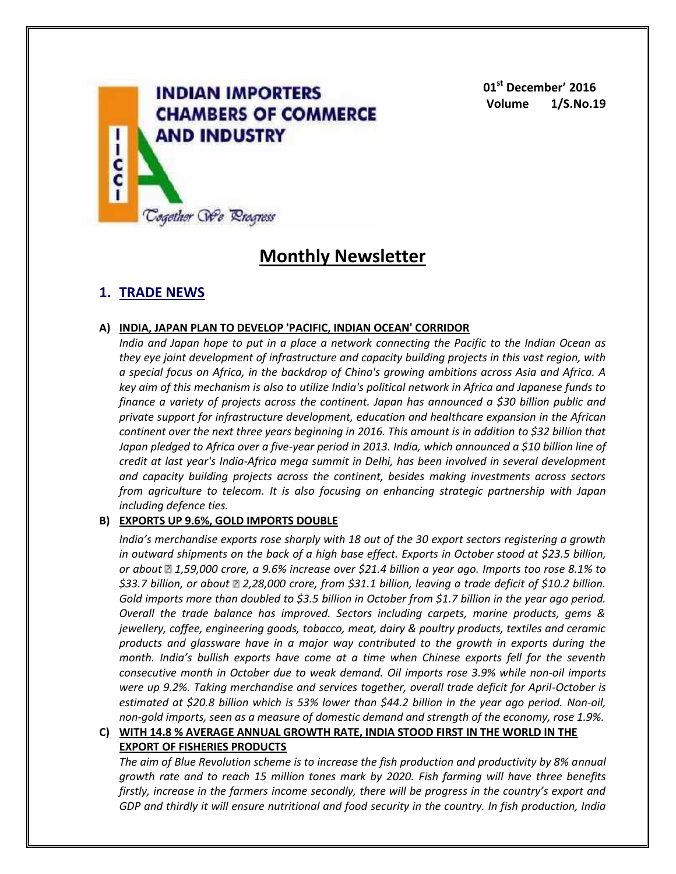

**01st December' 2016 Volume 1/S.No.19**

# **Monthly Newsletter**

# **1. TRADE NEWS**

# **A) INDIA, JAPAN PLAN TO DEVELOP 'PACIFIC, INDIAN OCEAN' CORRIDOR**

*India and Japan hope to put in a place a network connecting the Pacific to the Indian Ocean as they eye joint development of infrastructure and capacity building projects in this vast region, with a special focus on Africa, in the backdrop of China's growing ambitions across Asia and Africa. A key aim of this mechanism is also to utilize India's political network in Africa and Japanese funds to finance a variety of projects across the continent. Japan has announced a \$30 billion public and private support for infrastructure development, education and healthcare expansion in the African continent over the next three years beginning in 2016. This amount is in addition to \$32 billion that Japan pledged to Africa over a five-year period in 2013. India, which announced a \$10 billion line of credit at last year's India-Africa mega summit in Delhi, has been involved in several development and capacity building projects across the continent, besides making investments across sectors from agriculture to telecom. It is also focusing on enhancing strategic partnership with Japan including defence ties.*

# **B) EXPORTS UP 9.6%, GOLD IMPORTS DOUBLE**

*India's merchandise exports rose sharply with 18 out of the 30 export sectors registering a growth in outward shipments on the back of a high base effect. Exports in October stood at \$23.5 billion, or about 1,59,000 crore, a 9.6% increase over \$21.4 billion a year ago. Imports too rose 8.1% to \$33.7 billion, or about 2,28,000 crore, from \$31.1 billion, leaving a trade deficit of \$10.2 billion. Gold imports more than doubled to \$3.5 billion in October from \$1.7 billion in the year ago period. Overall the trade balance has improved. Sectors including carpets, marine products, gems & jewellery, coffee, engineering goods, tobacco, meat, dairy & poultry products, textiles and ceramic products and glassware have in a major way contributed to the growth in exports during the month. India's bullish exports have come at a time when Chinese exports fell for the seventh consecutive month in October due to weak demand. Oil imports rose 3.9% while non-oil imports were up 9.2%. Taking merchandise and services together, overall trade deficit for April-October is estimated at \$20.8 billion which is 53% lower than \$44.2 billion in the year ago period. Non-oil, non-gold imports, seen as a measure of domestic demand and strength of the economy, rose 1.9%.*

# **C) WITH 14.8 % AVERAGE ANNUAL GROWTH RATE, INDIA STOOD FIRST IN THE WORLD IN THE EXPORT OF FISHERIES PRODUCTS**

*The aim of Blue Revolution scheme is to increase the fish production and productivity by 8% annual growth rate and to reach 15 million tones mark by 2020. Fish farming will have three benefits firstly, increase in the farmers income secondly, there will be progress in the country's export and GDP and thirdly it will ensure nutritional and food security in the country. In fish production, India*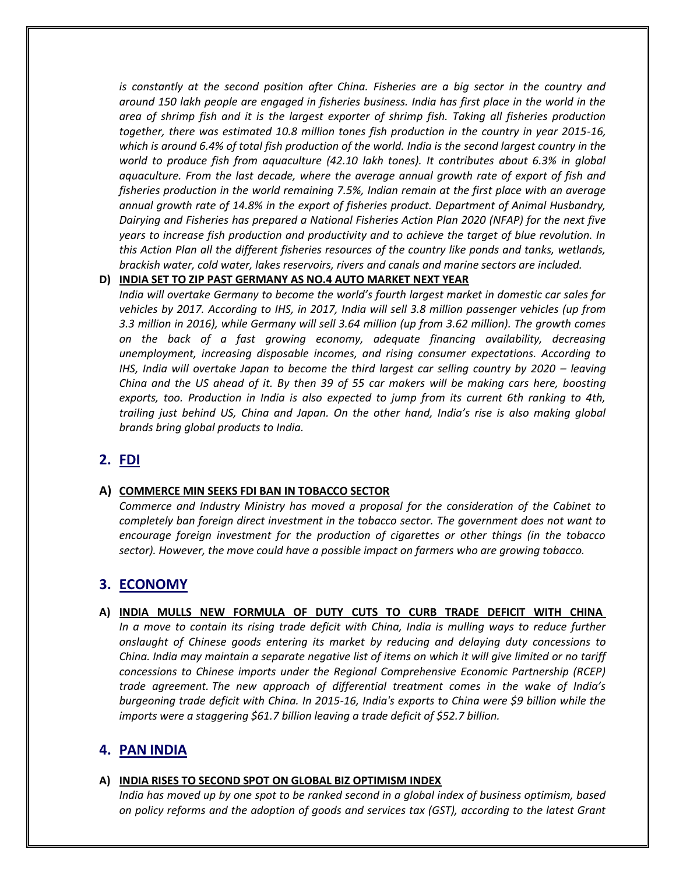*is constantly at the second position after China. Fisheries are a big sector in the country and around 150 lakh people are engaged in fisheries business. India has first place in the world in the area of shrimp fish and it is the largest exporter of shrimp fish. Taking all fisheries production together, there was estimated 10.8 million tones fish production in the country in year 2015-16, which is around 6.4% of total fish production of the world. India is the second largest country in the world to produce fish from aquaculture (42.10 lakh tones). It contributes about 6.3% in global aquaculture. From the last decade, where the average annual growth rate of export of fish and fisheries production in the world remaining 7.5%, Indian remain at the first place with an average annual growth rate of 14.8% in the export of fisheries product. Department of Animal Husbandry, Dairying and Fisheries has prepared a National Fisheries Action Plan 2020 (NFAP) for the next five years to increase fish production and productivity and to achieve the target of blue revolution. In this Action Plan all the different fisheries resources of the country like ponds and tanks, wetlands, brackish water, cold water, lakes reservoirs, rivers and canals and marine sectors are included.*

### **D) INDIA SET TO ZIP PAST GERMANY AS NO.4 AUTO MARKET NEXT YEAR**

*India will overtake Germany to become the world's fourth largest market in domestic car sales for vehicles by 2017. According to IHS, in 2017, India will sell 3.8 million passenger vehicles (up from 3.3 million in 2016), while Germany will sell 3.64 million (up from 3.62 million). The growth comes on the back of a fast growing economy, adequate financing availability, decreasing unemployment, increasing disposable incomes, and rising consumer expectations. According to IHS, India will overtake Japan to become the third largest car selling country by 2020 – leaving China and the US ahead of it. By then 39 of 55 car makers will be making cars here, boosting exports, too. Production in India is also expected to jump from its current 6th ranking to 4th, trailing just behind US, China and Japan. On the other hand, India's rise is also making global brands bring global products to India.*

# **2. FDI**

#### **A) COMMERCE MIN SEEKS FDI BAN IN TOBACCO SECTOR**

*Commerce and Industry Ministry has moved a proposal for the consideration of the Cabinet to completely ban foreign direct investment in the tobacco sector. The government does not want to encourage foreign investment for the production of cigarettes or other things (in the tobacco sector). However, the move could have a possible impact on farmers who are growing tobacco.*

# **3. ECONOMY**

**A) INDIA MULLS NEW FORMULA OF DUTY CUTS TO CURB TRADE DEFICIT WITH CHINA** *In a move to contain its rising trade deficit with China, India is mulling ways to reduce further onslaught of Chinese goods entering its market by reducing and delaying duty concessions to China. India may maintain a separate negative list of items on which it will give limited or no tariff concessions to Chinese imports under the Regional Comprehensive Economic Partnership (RCEP) trade agreement. The new approach of differential treatment comes in the wake of India's burgeoning trade deficit with China. In 2015-16, India's exports to China were \$9 billion while the imports were a staggering \$61.7 billion leaving a trade deficit of \$52.7 billion.*

# **4. PAN INDIA**

#### **A) INDIA RISES TO SECOND SPOT ON GLOBAL BIZ OPTIMISM INDEX**

*India has moved up by one spot to be ranked second in a global index of business optimism, based on policy reforms and the adoption of goods and services tax (GST), according to the latest Grant*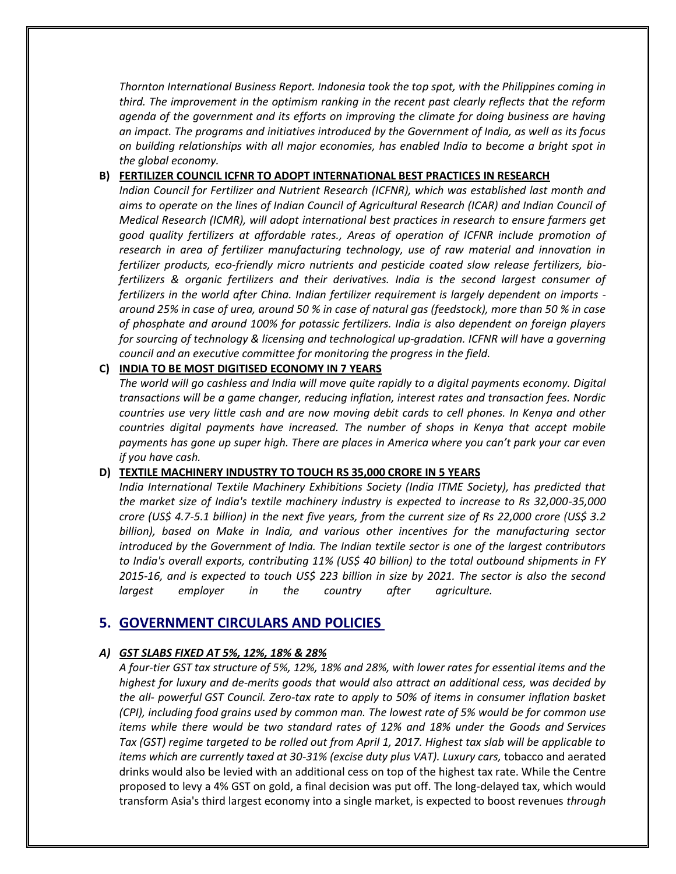*Thornton International Business Report. Indonesia took the top spot, with the Philippines coming in third. The improvement in the optimism ranking in the recent past clearly reflects that the reform agenda of the government and its efforts on improving the climate for doing business are having an impact. The programs and initiatives introduced by the Government of India, as well as its focus on building relationships with all major economies, has enabled India to become a bright spot in the global economy.*

## **B) FERTILIZER COUNCIL ICFNR TO ADOPT INTERNATIONAL BEST PRACTICES IN RESEARCH**

*Indian Council for Fertilizer and Nutrient Research (ICFNR), which was established last month and aims to operate on the lines of Indian Council of Agricultural Research (ICAR) and Indian Council of Medical Research (ICMR), will adopt international best practices in research to ensure farmers get good quality fertilizers at affordable rates., Areas of operation of ICFNR include promotion of research in area of fertilizer manufacturing technology, use of raw material and innovation in fertilizer products, eco-friendly micro nutrients and pesticide coated slow release fertilizers, biofertilizers & organic fertilizers and their derivatives. India is the second largest consumer of fertilizers in the world after China. Indian fertilizer requirement is largely dependent on imports around 25% in case of urea, around 50 % in case of natural gas (feedstock), more than 50 % in case of phosphate and around 100% for potassic fertilizers. India is also dependent on foreign players for sourcing of technology & licensing and technological up-gradation. ICFNR will have a governing council and an executive committee for monitoring the progress in the field.*

# **C) INDIA TO BE MOST DIGITISED ECONOMY IN 7 YEARS**

*The world will go cashless and India will move quite rapidly to a digital payments economy. Digital transactions will be a game changer, reducing inflation, interest rates and transaction fees. Nordic countries use very little cash and are now moving debit cards to cell phones. In Kenya and other countries digital payments have increased. The number of shops in Kenya that accept mobile payments has gone up super high. There are places in America where you can't park your car even if you have cash.*

#### **D) TEXTILE MACHINERY INDUSTRY TO TOUCH RS 35,000 CRORE IN 5 YEARS**

*India International Textile Machinery Exhibitions Society (India ITME Society), has predicted that the market size of India's textile machinery industry is expected to increase to Rs 32,000-35,000 crore (US\$ 4.7-5.1 billion) in the next five years, from the current size of Rs 22,000 crore (US\$ 3.2 billion), based on Make in India, and various other incentives for the manufacturing sector introduced by the Government of India. The Indian textile sector is one of the largest contributors to India's overall exports, contributing 11% (US\$ 40 billion) to the total outbound shipments in FY 2015-16, and is expected to touch US\$ 223 billion in size by 2021. The sector is also the second largest employer in the country after agriculture.*

# **5. GOVERNMENT CIRCULARS AND POLICIES**

# *A) GST SLABS FIXED AT 5%, 12%, 18% & 28%*

*A four-tier GST tax structure of 5%, 12%, 18% and 28%, with lower rates for essential items and the highest for luxury and de-merits goods that would also attract an additional cess, was decided by the all- powerful GST Council. Zero-tax rate to apply to 50% of items in consumer inflation basket (CPI), including food grains used by common man. The lowest rate of 5% would be for common use items while there would be two standard rates of 12% and 18% under the Goods and Services Tax (GST) regime targeted to be rolled out from April 1, 2017. Highest tax slab will be applicable to items which are currently taxed at 30-31% (excise duty plus VAT). Luxury cars,* tobacco and aerated drinks would also be levied with an additional cess on top of the highest tax rate. While the Centre proposed to levy a 4% GST on gold, a final decision was put off. The long-delayed tax, which would transform Asia's third largest economy into a single market, is expected to boost revenues *through*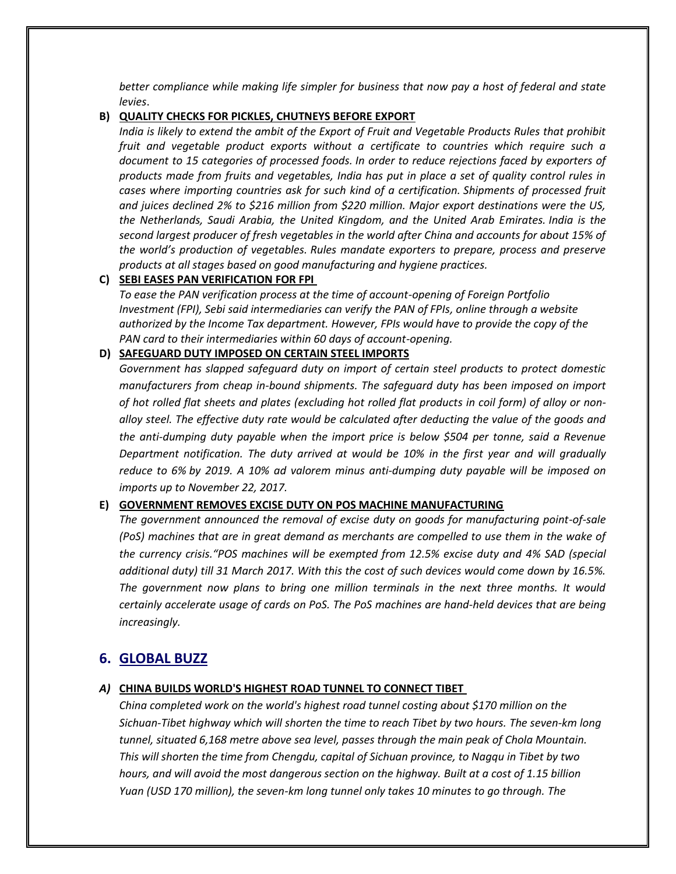*better compliance while making life simpler for business that now pay a host of federal and state levies*.

#### **B) QUALITY CHECKS FOR PICKLES, CHUTNEYS BEFORE EXPORT**

*India is likely to extend the ambit of the Export of Fruit and Vegetable Products Rules that prohibit fruit and vegetable product exports without a certificate to countries which require such a document to 15 categories of processed foods. In order to reduce rejections faced by exporters of products made from fruits and vegetables, India has put in place a set of quality control rules in cases where importing countries ask for such kind of a certification. Shipments of processed fruit and juices declined 2% to \$216 million from \$220 million. Major export destinations were the US, the Netherlands, Saudi Arabia, the United Kingdom, and the United Arab Emirates. India is the second largest producer of fresh vegetables in the world after China and accounts for about 15% of the world's production of vegetables. Rules mandate exporters to prepare, process and preserve products at all stages based on good manufacturing and hygiene practices.*

### **C) SEBI EASES PAN VERIFICATION FOR FPI**

*To ease the PAN verification process at the time of account-opening of Foreign Portfolio Investment (FPI), Sebi said intermediaries can verify the PAN of FPIs, online through a website authorized by the Income Tax department. However, FPIs would have to provide the copy of the PAN card to their intermediaries within 60 days of account-opening.*

#### **D) SAFEGUARD DUTY IMPOSED ON CERTAIN STEEL IMPORTS**

*Government has slapped safeguard duty on import of certain steel products to protect domestic manufacturers from cheap in-bound shipments. The safeguard duty has been imposed on import of hot rolled flat sheets and plates (excluding hot rolled flat products in coil form) of alloy or nonalloy steel. The effective duty rate would be calculated after deducting the value of the goods and the anti-dumping duty payable when the import price is below \$504 per tonne, said a Revenue Department notification. The duty arrived at would be 10% in the first year and will gradually reduce to 6% by 2019. A 10% ad valorem minus anti-dumping duty payable will be imposed on imports up to November 22, 2017.*

#### **E) GOVERNMENT REMOVES EXCISE DUTY ON POS MACHINE MANUFACTURING**

*The government announced the removal of excise duty on goods for manufacturing point-of-sale (PoS) machines that are in great demand as merchants are compelled to use them in the wake of the currency crisis."POS machines will be exempted from 12.5% excise duty and 4% SAD (special additional duty) till 31 March 2017. With this the cost of such devices would come down by 16.5%. The government now plans to bring one million terminals in the next three months. It would certainly accelerate usage of cards on PoS. The PoS machines are hand-held devices that are being increasingly.*

# **6. GLOBAL BUZZ**

#### *A)* **CHINA BUILDS WORLD'S HIGHEST ROAD TUNNEL TO CONNECT TIBET**

*China completed work on the world's highest road tunnel costing about \$170 million on the Sichuan-Tibet highway which will shorten the time to reach Tibet by two hours. The seven-km long tunnel, situated 6,168 metre above sea level, passes through the main peak of Chola Mountain. This will shorten the time from Chengdu, capital of Sichuan province, to Nagqu in Tibet by two hours, and will avoid the most dangerous section on the highway. Built at a cost of 1.15 billion Yuan (USD 170 million), the seven-km long tunnel only takes 10 minutes to go through. The*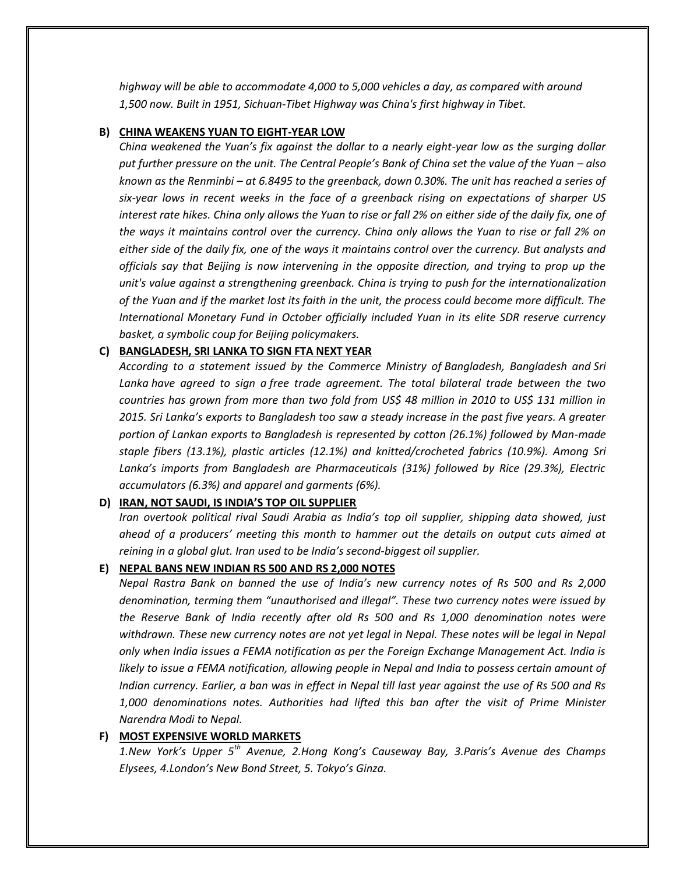*highway will be able to accommodate 4,000 to 5,000 vehicles a day, as compared with around 1,500 now. Built in 1951, Sichuan-Tibet Highway was China's first highway in Tibet.*

#### **B) CHINA WEAKENS YUAN TO EIGHT-YEAR LOW**

*China weakened the Yuan's fix against the dollar to a nearly eight-year low as the surging dollar put further pressure on the unit. The Central People's Bank of China set the value of the Yuan – also known as the Renminbi – at 6.8495 to the greenback, down 0.30%. The unit has reached a series of six-year lows in recent weeks in the face of a greenback rising on expectations of sharper US interest rate hikes. China only allows the Yuan to rise or fall 2% on either side of the daily fix, one of the ways it maintains control over the currency. China only allows the Yuan to rise or fall 2% on either side of the daily fix, one of the ways it maintains control over the currency. But analysts and officials say that Beijing is now intervening in the opposite direction, and trying to prop up the unit's value against a strengthening greenback. China is trying to push for the internationalization of the Yuan and if the market lost its faith in the unit, the process could become more difficult. The International Monetary Fund in October officially included Yuan in its elite SDR reserve currency basket, a symbolic coup for Beijing policymakers.*

#### **C) BANGLADESH, SRI LANKA TO SIGN FTA NEXT YEAR**

*According to a statement issued by the Commerce Ministry of Bangladesh, Bangladesh and Sri Lanka have agreed to sign a free trade agreement. The total bilateral trade between the two countries has grown from more than two fold from US\$ 48 million in 2010 to US\$ 131 million in 2015. Sri Lanka's exports to Bangladesh too saw a steady increase in the past five years. A greater portion of Lankan exports to Bangladesh is represented by cotton (26.1%) followed by Man-made staple fibers (13.1%), plastic articles (12.1%) and knitted/crocheted fabrics (10.9%). Among Sri Lanka's imports from Bangladesh are Pharmaceuticals (31%) followed by Rice (29.3%), Electric accumulators (6.3%) and apparel and garments (6%).*

#### **D) IRAN, NOT SAUDI, IS INDIA'S TOP OIL SUPPLIER**

*Iran overtook political rival Saudi Arabia as India's top oil supplier, shipping data showed, just ahead of a producers' meeting this month to hammer out the details on output cuts aimed at reining in a global glut. Iran used to be India's second-biggest oil supplier.*

# **E) NEPAL BANS NEW INDIAN RS 500 AND RS 2,000 NOTES**

*Nepal Rastra Bank on banned the use of India's new currency notes of Rs 500 and Rs 2,000 denomination, terming them "unauthorised and illegal". These two currency notes were issued by the Reserve Bank of India recently after old Rs 500 and Rs 1,000 denomination notes were withdrawn. These new currency notes are not yet legal in Nepal. These notes will be legal in Nepal only when India issues a FEMA notification as per the Foreign Exchange Management Act. India is likely to issue a FEMA notification, allowing people in Nepal and India to possess certain amount of Indian currency. Earlier, a ban was in effect in Nepal till last year against the use of Rs 500 and Rs 1,000 denominations notes. Authorities had lifted this ban after the visit of Prime Minister Narendra Modi to Nepal.*

# **F) MOST EXPENSIVE WORLD MARKETS**

*1.New York's Upper 5th Avenue, 2.Hong Kong's Causeway Bay, 3.Paris's Avenue des Champs Elysees, 4.London's New Bond Street, 5. Tokyo's Ginza.*